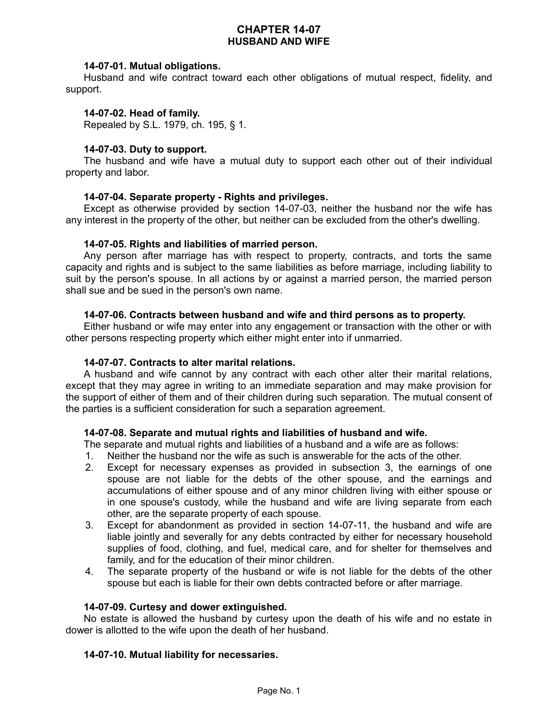# **CHAPTER 14-07 HUSBAND AND WIFE**

# **14-07-01. Mutual obligations.**

Husband and wife contract toward each other obligations of mutual respect, fidelity, and support.

## **14-07-02. Head of family.**

Repealed by S.L. 1979, ch. 195, § 1.

# **14-07-03. Duty to support.**

The husband and wife have a mutual duty to support each other out of their individual property and labor.

## **14-07-04. Separate property - Rights and privileges.**

Except as otherwise provided by section 14-07-03, neither the husband nor the wife has any interest in the property of the other, but neither can be excluded from the other's dwelling.

## **14-07-05. Rights and liabilities of married person.**

Any person after marriage has with respect to property, contracts, and torts the same capacity and rights and is subject to the same liabilities as before marriage, including liability to suit by the person's spouse. In all actions by or against a married person, the married person shall sue and be sued in the person's own name.

# **14-07-06. Contracts between husband and wife and third persons as to property.**

Either husband or wife may enter into any engagement or transaction with the other or with other persons respecting property which either might enter into if unmarried.

## **14-07-07. Contracts to alter marital relations.**

A husband and wife cannot by any contract with each other alter their marital relations, except that they may agree in writing to an immediate separation and may make provision for the support of either of them and of their children during such separation. The mutual consent of the parties is a sufficient consideration for such a separation agreement.

# **14-07-08. Separate and mutual rights and liabilities of husband and wife.**

The separate and mutual rights and liabilities of a husband and a wife are as follows:

- 1. Neither the husband nor the wife as such is answerable for the acts of the other.
- 2. Except for necessary expenses as provided in subsection 3, the earnings of one spouse are not liable for the debts of the other spouse, and the earnings and accumulations of either spouse and of any minor children living with either spouse or in one spouse's custody, while the husband and wife are living separate from each other, are the separate property of each spouse.
- 3. Except for abandonment as provided in section 14-07-11, the husband and wife are liable jointly and severally for any debts contracted by either for necessary household supplies of food, clothing, and fuel, medical care, and for shelter for themselves and family, and for the education of their minor children.
- 4. The separate property of the husband or wife is not liable for the debts of the other spouse but each is liable for their own debts contracted before or after marriage.

## **14-07-09. Curtesy and dower extinguished.**

No estate is allowed the husband by curtesy upon the death of his wife and no estate in dower is allotted to the wife upon the death of her husband.

## **14-07-10. Mutual liability for necessaries.**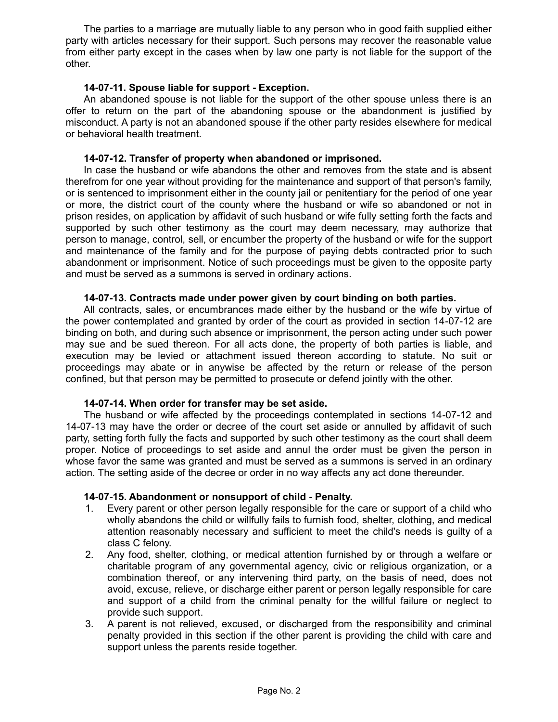The parties to a marriage are mutually liable to any person who in good faith supplied either party with articles necessary for their support. Such persons may recover the reasonable value from either party except in the cases when by law one party is not liable for the support of the other.

# **14-07-11. Spouse liable for support - Exception.**

An abandoned spouse is not liable for the support of the other spouse unless there is an offer to return on the part of the abandoning spouse or the abandonment is justified by misconduct. A party is not an abandoned spouse if the other party resides elsewhere for medical or behavioral health treatment.

## **14-07-12. Transfer of property when abandoned or imprisoned.**

In case the husband or wife abandons the other and removes from the state and is absent therefrom for one year without providing for the maintenance and support of that person's family, or is sentenced to imprisonment either in the county jail or penitentiary for the period of one year or more, the district court of the county where the husband or wife so abandoned or not in prison resides, on application by affidavit of such husband or wife fully setting forth the facts and supported by such other testimony as the court may deem necessary, may authorize that person to manage, control, sell, or encumber the property of the husband or wife for the support and maintenance of the family and for the purpose of paying debts contracted prior to such abandonment or imprisonment. Notice of such proceedings must be given to the opposite party and must be served as a summons is served in ordinary actions.

## **14-07-13. Contracts made under power given by court binding on both parties.**

All contracts, sales, or encumbrances made either by the husband or the wife by virtue of the power contemplated and granted by order of the court as provided in section 14-07-12 are binding on both, and during such absence or imprisonment, the person acting under such power may sue and be sued thereon. For all acts done, the property of both parties is liable, and execution may be levied or attachment issued thereon according to statute. No suit or proceedings may abate or in anywise be affected by the return or release of the person confined, but that person may be permitted to prosecute or defend jointly with the other.

## **14-07-14. When order for transfer may be set aside.**

The husband or wife affected by the proceedings contemplated in sections 14-07-12 and 14-07-13 may have the order or decree of the court set aside or annulled by affidavit of such party, setting forth fully the facts and supported by such other testimony as the court shall deem proper. Notice of proceedings to set aside and annul the order must be given the person in whose favor the same was granted and must be served as a summons is served in an ordinary action. The setting aside of the decree or order in no way affects any act done thereunder.

## **14-07-15. Abandonment or nonsupport of child - Penalty.**

- 1. Every parent or other person legally responsible for the care or support of a child who wholly abandons the child or willfully fails to furnish food, shelter, clothing, and medical attention reasonably necessary and sufficient to meet the child's needs is guilty of a class C felony.
- 2. Any food, shelter, clothing, or medical attention furnished by or through a welfare or charitable program of any governmental agency, civic or religious organization, or a combination thereof, or any intervening third party, on the basis of need, does not avoid, excuse, relieve, or discharge either parent or person legally responsible for care and support of a child from the criminal penalty for the willful failure or neglect to provide such support.
- 3. A parent is not relieved, excused, or discharged from the responsibility and criminal penalty provided in this section if the other parent is providing the child with care and support unless the parents reside together.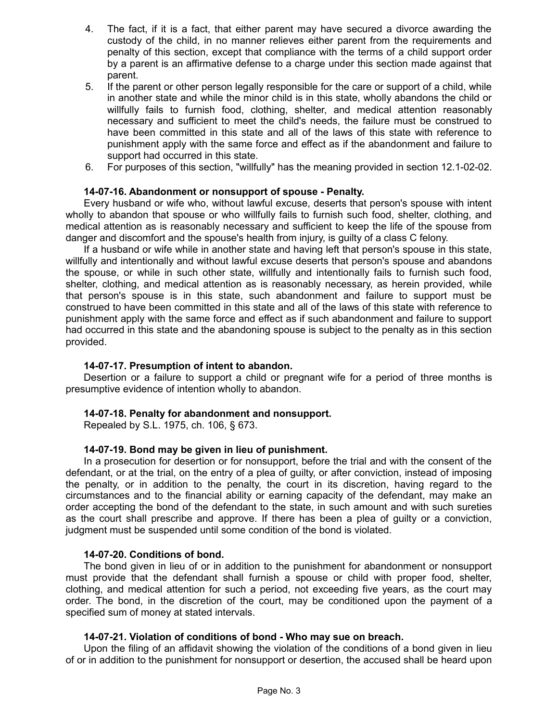- 4. The fact, if it is a fact, that either parent may have secured a divorce awarding the custody of the child, in no manner relieves either parent from the requirements and penalty of this section, except that compliance with the terms of a child support order by a parent is an affirmative defense to a charge under this section made against that parent.
- 5. If the parent or other person legally responsible for the care or support of a child, while in another state and while the minor child is in this state, wholly abandons the child or willfully fails to furnish food, clothing, shelter, and medical attention reasonably necessary and sufficient to meet the child's needs, the failure must be construed to have been committed in this state and all of the laws of this state with reference to punishment apply with the same force and effect as if the abandonment and failure to support had occurred in this state.
- 6. For purposes of this section, "willfully" has the meaning provided in section 12.1-02-02.

## **14-07-16. Abandonment or nonsupport of spouse - Penalty.**

Every husband or wife who, without lawful excuse, deserts that person's spouse with intent wholly to abandon that spouse or who willfully fails to furnish such food, shelter, clothing, and medical attention as is reasonably necessary and sufficient to keep the life of the spouse from danger and discomfort and the spouse's health from injury, is guilty of a class C felony.

If a husband or wife while in another state and having left that person's spouse in this state, willfully and intentionally and without lawful excuse deserts that person's spouse and abandons the spouse, or while in such other state, willfully and intentionally fails to furnish such food, shelter, clothing, and medical attention as is reasonably necessary, as herein provided, while that person's spouse is in this state, such abandonment and failure to support must be construed to have been committed in this state and all of the laws of this state with reference to punishment apply with the same force and effect as if such abandonment and failure to support had occurred in this state and the abandoning spouse is subject to the penalty as in this section provided.

## **14-07-17. Presumption of intent to abandon.**

Desertion or a failure to support a child or pregnant wife for a period of three months is presumptive evidence of intention wholly to abandon.

## **14-07-18. Penalty for abandonment and nonsupport.**

Repealed by S.L. 1975, ch. 106, § 673.

## **14-07-19. Bond may be given in lieu of punishment.**

In a prosecution for desertion or for nonsupport, before the trial and with the consent of the defendant, or at the trial, on the entry of a plea of guilty, or after conviction, instead of imposing the penalty, or in addition to the penalty, the court in its discretion, having regard to the circumstances and to the financial ability or earning capacity of the defendant, may make an order accepting the bond of the defendant to the state, in such amount and with such sureties as the court shall prescribe and approve. If there has been a plea of guilty or a conviction, judgment must be suspended until some condition of the bond is violated.

## **14-07-20. Conditions of bond.**

The bond given in lieu of or in addition to the punishment for abandonment or nonsupport must provide that the defendant shall furnish a spouse or child with proper food, shelter, clothing, and medical attention for such a period, not exceeding five years, as the court may order. The bond, in the discretion of the court, may be conditioned upon the payment of a specified sum of money at stated intervals.

## **14-07-21. Violation of conditions of bond - Who may sue on breach.**

Upon the filing of an affidavit showing the violation of the conditions of a bond given in lieu of or in addition to the punishment for nonsupport or desertion, the accused shall be heard upon